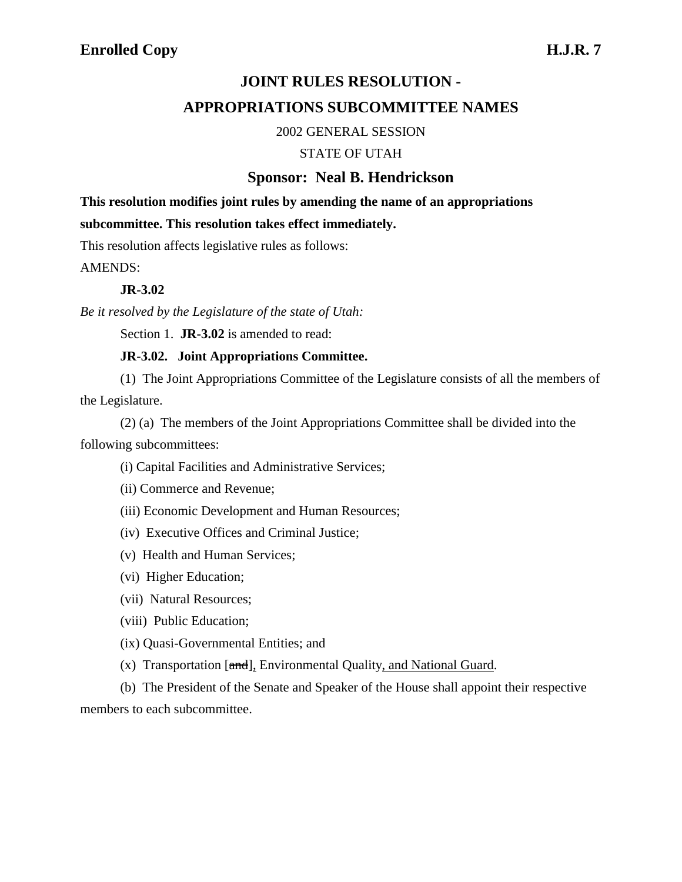# **JOINT RULES RESOLUTION -**

## **APPROPRIATIONS SUBCOMMITTEE NAMES**

#### 2002 GENERAL SESSION

#### STATE OF UTAH

### **Sponsor: Neal B. Hendrickson**

**This resolution modifies joint rules by amending the name of an appropriations subcommittee. This resolution takes effect immediately.**

This resolution affects legislative rules as follows:

AMENDS:

#### **JR-3.02**

*Be it resolved by the Legislature of the state of Utah:*

Section 1. **JR-3.02** is amended to read:

#### **JR-3.02. Joint Appropriations Committee.**

(1) The Joint Appropriations Committee of the Legislature consists of all the members of the Legislature.

(2) (a) The members of the Joint Appropriations Committee shall be divided into the following subcommittees:

(i) Capital Facilities and Administrative Services;

(ii) Commerce and Revenue;

- (iii) Economic Development and Human Resources;
- (iv) Executive Offices and Criminal Justice;
- (v) Health and Human Services;
- (vi) Higher Education;
- (vii) Natural Resources;
- (viii) Public Education;
- (ix) Quasi-Governmental Entities; and
- (x) Transportation [and], Environmental Quality, and National Guard.

(b) The President of the Senate and Speaker of the House shall appoint their respective members to each subcommittee.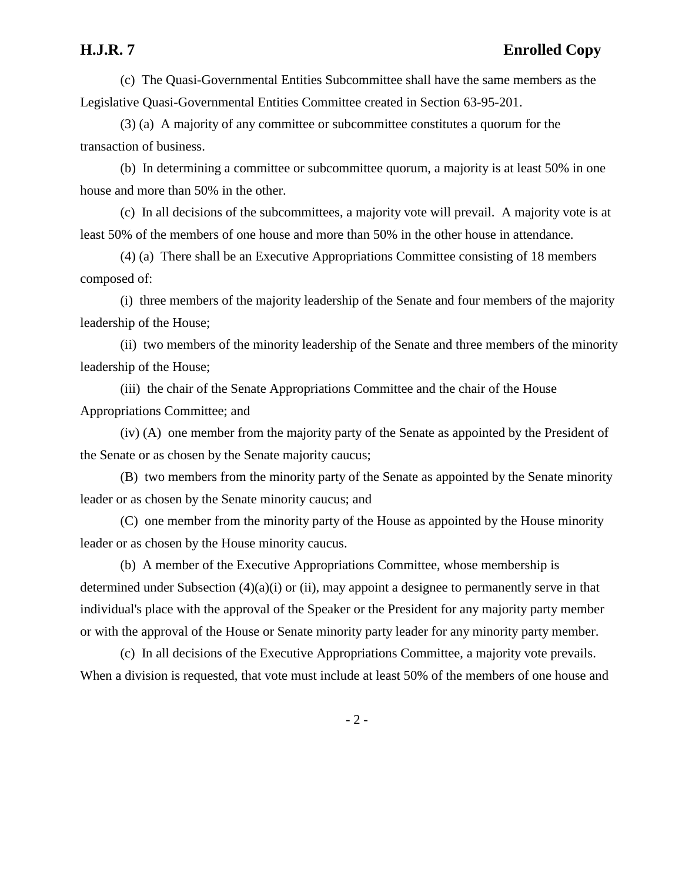(c) The Quasi-Governmental Entities Subcommittee shall have the same members as the Legislative Quasi-Governmental Entities Committee created in Section 63-95-201.

(3) (a) A majority of any committee or subcommittee constitutes a quorum for the transaction of business.

(b) In determining a committee or subcommittee quorum, a majority is at least 50% in one house and more than 50% in the other.

(c) In all decisions of the subcommittees, a majority vote will prevail. A majority vote is at least 50% of the members of one house and more than 50% in the other house in attendance.

(4) (a) There shall be an Executive Appropriations Committee consisting of 18 members composed of:

(i) three members of the majority leadership of the Senate and four members of the majority leadership of the House;

(ii) two members of the minority leadership of the Senate and three members of the minority leadership of the House;

(iii) the chair of the Senate Appropriations Committee and the chair of the House Appropriations Committee; and

(iv) (A) one member from the majority party of the Senate as appointed by the President of the Senate or as chosen by the Senate majority caucus;

(B) two members from the minority party of the Senate as appointed by the Senate minority leader or as chosen by the Senate minority caucus; and

(C) one member from the minority party of the House as appointed by the House minority leader or as chosen by the House minority caucus.

(b) A member of the Executive Appropriations Committee, whose membership is determined under Subsection (4)(a)(i) or (ii), may appoint a designee to permanently serve in that individual's place with the approval of the Speaker or the President for any majority party member or with the approval of the House or Senate minority party leader for any minority party member.

(c) In all decisions of the Executive Appropriations Committee, a majority vote prevails. When a division is requested, that vote must include at least 50% of the members of one house and

- 2 -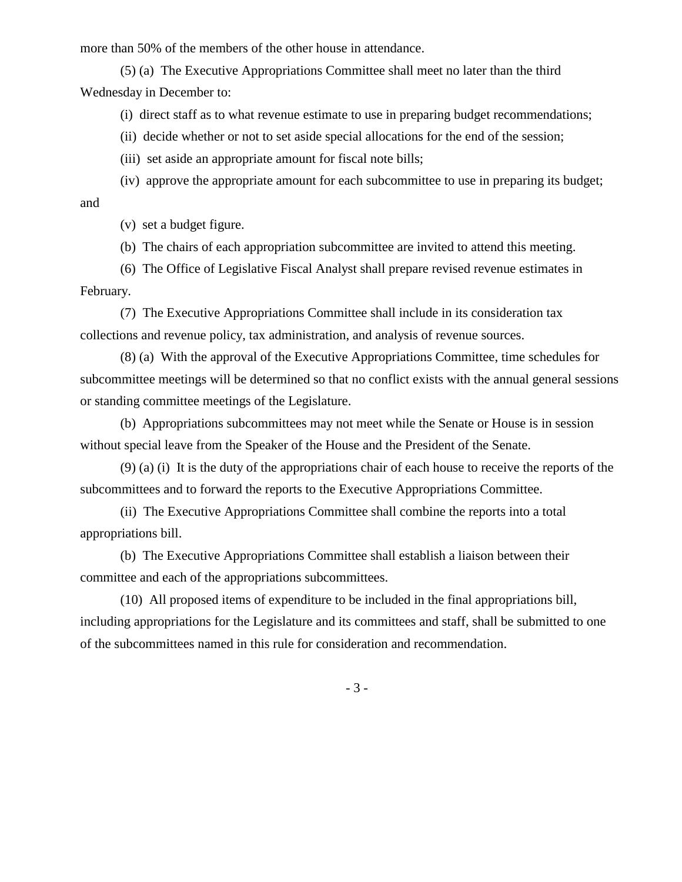more than 50% of the members of the other house in attendance.

(5) (a) The Executive Appropriations Committee shall meet no later than the third Wednesday in December to:

(i) direct staff as to what revenue estimate to use in preparing budget recommendations;

(ii) decide whether or not to set aside special allocations for the end of the session;

(iii) set aside an appropriate amount for fiscal note bills;

(iv) approve the appropriate amount for each subcommittee to use in preparing its budget; and

(v) set a budget figure.

(b) The chairs of each appropriation subcommittee are invited to attend this meeting.

(6) The Office of Legislative Fiscal Analyst shall prepare revised revenue estimates in February.

(7) The Executive Appropriations Committee shall include in its consideration tax collections and revenue policy, tax administration, and analysis of revenue sources.

(8) (a) With the approval of the Executive Appropriations Committee, time schedules for subcommittee meetings will be determined so that no conflict exists with the annual general sessions or standing committee meetings of the Legislature.

(b) Appropriations subcommittees may not meet while the Senate or House is in session without special leave from the Speaker of the House and the President of the Senate.

(9) (a) (i) It is the duty of the appropriations chair of each house to receive the reports of the subcommittees and to forward the reports to the Executive Appropriations Committee.

(ii) The Executive Appropriations Committee shall combine the reports into a total appropriations bill.

(b) The Executive Appropriations Committee shall establish a liaison between their committee and each of the appropriations subcommittees.

(10) All proposed items of expenditure to be included in the final appropriations bill, including appropriations for the Legislature and its committees and staff, shall be submitted to one of the subcommittees named in this rule for consideration and recommendation.

- 3 -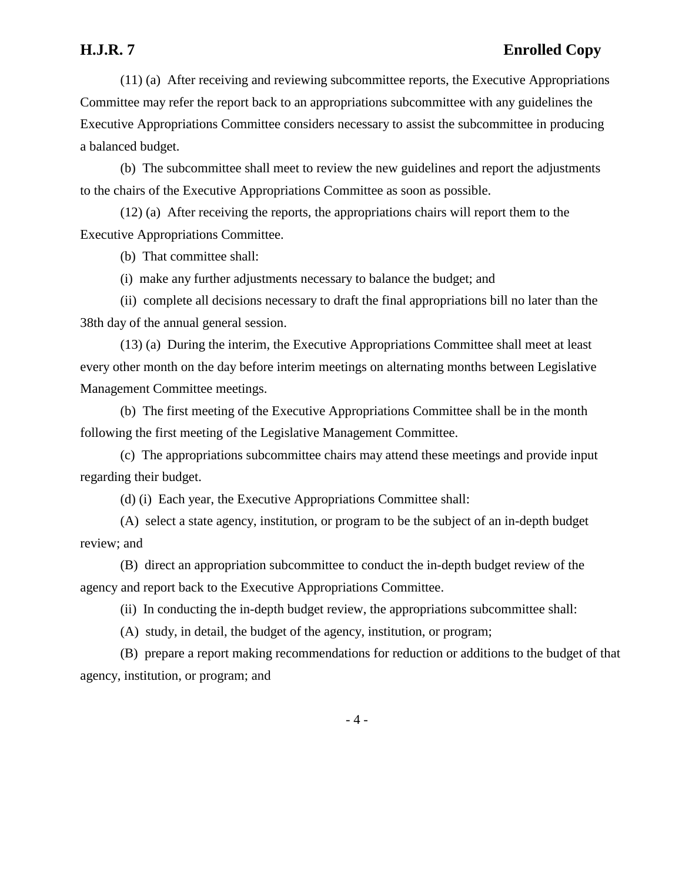### **H.J.R. 7 Enrolled Copy**

(11) (a) After receiving and reviewing subcommittee reports, the Executive Appropriations Committee may refer the report back to an appropriations subcommittee with any guidelines the Executive Appropriations Committee considers necessary to assist the subcommittee in producing a balanced budget.

(b) The subcommittee shall meet to review the new guidelines and report the adjustments to the chairs of the Executive Appropriations Committee as soon as possible.

(12) (a) After receiving the reports, the appropriations chairs will report them to the Executive Appropriations Committee.

(b) That committee shall:

(i) make any further adjustments necessary to balance the budget; and

(ii) complete all decisions necessary to draft the final appropriations bill no later than the 38th day of the annual general session.

(13) (a) During the interim, the Executive Appropriations Committee shall meet at least every other month on the day before interim meetings on alternating months between Legislative Management Committee meetings.

(b) The first meeting of the Executive Appropriations Committee shall be in the month following the first meeting of the Legislative Management Committee.

(c) The appropriations subcommittee chairs may attend these meetings and provide input regarding their budget.

(d) (i) Each year, the Executive Appropriations Committee shall:

(A) select a state agency, institution, or program to be the subject of an in-depth budget review; and

(B) direct an appropriation subcommittee to conduct the in-depth budget review of the agency and report back to the Executive Appropriations Committee.

(ii) In conducting the in-depth budget review, the appropriations subcommittee shall:

(A) study, in detail, the budget of the agency, institution, or program;

(B) prepare a report making recommendations for reduction or additions to the budget of that agency, institution, or program; and

- 4 -